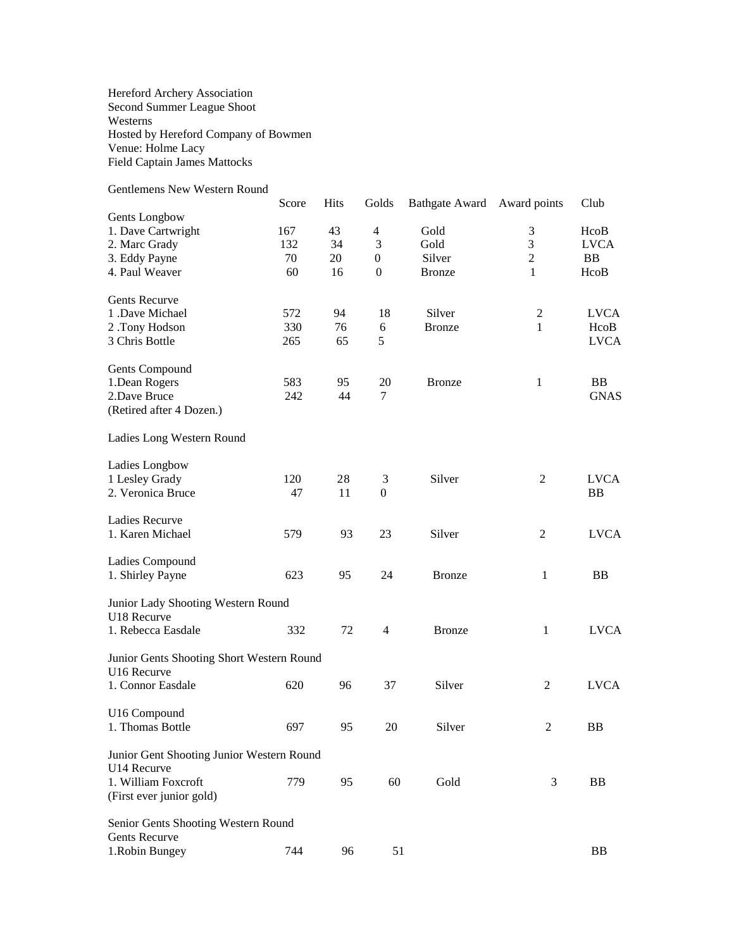Hereford Archery Association Second Summer League Shoot Westerns Hosted by Hereford Company of Bowmen Venue: Holme Lacy Field Captain James Mattocks

## Gentlemens New Western Round

|                                                   | Score | <b>Hits</b> | Golds            | Bathgate Award Award points |                | Club        |
|---------------------------------------------------|-------|-------------|------------------|-----------------------------|----------------|-------------|
| Gents Longbow                                     |       |             |                  |                             |                |             |
| 1. Dave Cartwright                                | 167   | 43          | $\overline{4}$   | Gold                        | 3              | HcoB        |
| 2. Marc Grady                                     | 132   | 34          | 3                | Gold                        | 3              | <b>LVCA</b> |
| 3. Eddy Payne                                     | 70    | 20          | $\boldsymbol{0}$ | Silver                      | $\overline{2}$ | BB          |
| 4. Paul Weaver                                    | 60    | 16          | $\overline{0}$   | <b>Bronze</b>               | 1              | HcoB        |
| Gents Recurve                                     |       |             |                  |                             |                |             |
| 1.Dave Michael                                    | 572   | 94          | 18               | Silver                      | $\mathfrak{2}$ | <b>LVCA</b> |
| 2.Tony Hodson                                     | 330   | 76          | 6                | <b>Bronze</b>               | $\mathbf{1}$   | HcoB        |
| 3 Chris Bottle                                    | 265   | 65          | 5                |                             |                | <b>LVCA</b> |
| Gents Compound                                    |       |             |                  |                             |                |             |
| 1.Dean Rogers                                     | 583   | 95          | 20               | <b>Bronze</b>               | 1              | BB          |
| 2.Dave Bruce                                      | 242   | 44          | $\tau$           |                             |                | <b>GNAS</b> |
| (Retired after 4 Dozen.)                          |       |             |                  |                             |                |             |
| Ladies Long Western Round                         |       |             |                  |                             |                |             |
| Ladies Longbow                                    |       |             |                  |                             |                |             |
| 1 Lesley Grady                                    | 120   | 28          | 3                | Silver                      | 2              | <b>LVCA</b> |
| 2. Veronica Bruce                                 | 47    | 11          | $\boldsymbol{0}$ |                             |                | <b>BB</b>   |
| Ladies Recurve                                    |       |             |                  |                             |                |             |
| 1. Karen Michael                                  | 579   | 93          | 23               | Silver                      | $\overline{2}$ | <b>LVCA</b> |
| Ladies Compound                                   |       |             |                  |                             |                |             |
| 1. Shirley Payne                                  | 623   | 95          | 24               | <b>Bronze</b>               | $\mathbf{1}$   | BB          |
| Junior Lady Shooting Western Round<br>U18 Recurve |       |             |                  |                             |                |             |
| 1. Rebecca Easdale                                | 332   | 72          | $\overline{4}$   | <b>Bronze</b>               | $\mathbf{1}$   | <b>LVCA</b> |
| Junior Gents Shooting Short Western Round         |       |             |                  |                             |                |             |
| U16 Recurve                                       |       |             |                  |                             |                |             |
| 1. Connor Easdale                                 | 620   | 96          | 37               | Silver                      | 2              | <b>LVCA</b> |
| U16 Compound                                      |       |             |                  |                             |                |             |
| 1. Thomas Bottle                                  | 697   | 95          | 20               | Silver                      | $\overline{2}$ | <b>BB</b>   |
| Junior Gent Shooting Junior Western Round         |       |             |                  |                             |                |             |
| U14 Recurve                                       |       |             |                  |                             |                |             |
| 1. William Foxcroft                               | 779   | 95          | 60               | Gold                        | 3              | BB          |
| (First ever junior gold)                          |       |             |                  |                             |                |             |
| Senior Gents Shooting Western Round               |       |             |                  |                             |                |             |
| Gents Recurve                                     |       |             |                  |                             |                |             |
| 1. Robin Bungey                                   | 744   | 96          | 51               |                             |                | <b>BB</b>   |